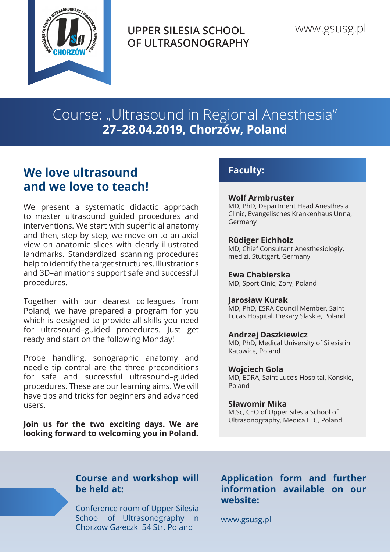

**UPPER SILESIA SCHOOL OF ULTRASONOGRAPHY**

Course: "Ultrasound in Regional Anesthesia" **27–28.04.2019, Chorzów, Poland**

# **We love ultrasound and we love to teach!**

We present a systematic didactic approach to master ultrasound guided procedures and interventions. We start with superficial anatomy and then, step by step, we move on to an axial view on anatomic slices with clearly illustrated landmarks. Standardized scanning procedures help to identify the target structures. Illustrations and 3D–animations support safe and successful procedures.

Together with our dearest colleagues from Poland, we have prepared a program for you which is designed to provide all skills you need for ultrasound–guided procedures. Just get ready and start on the following Monday!

Probe handling, sonographic anatomy and needle tip control are the three preconditions for safe and successful ultrasound–guided procedures. These are our learning aims. We will have tips and tricks for beginners and advanced users.

**Join us for the two exciting days. We are looking forward to welcoming you in Poland.**

### **Faculty:**

#### **Wolf Armbruster**

MD, PhD, Department Head Anesthesia Clinic, Evangelisches Krankenhaus Unna, Germany

#### **Rüdiger Eichholz**

MD, Chief Consultant Anesthesiologiy, medizi. Stuttgart, Germany

**Ewa Chabierska** MD, Sport Cinic, Żory, Poland

#### **Jarosław Kurak**

MD, PhD, ESRA Council Member, Saint Lucas Hospital, Piekary Slaskie, Poland

#### **Andrzej Daszkiewicz**

MD, PhD, Medical University of Silesia in Katowice, Poland

#### **Wojciech Gola**

MD, EDRA, Saint Luce's Hospital, Konskie, Poland

#### **Sławomir Mika**

M.Sc, CEO of Upper Silesia School of Ultrasonography, Medica LLC, Poland

### **Course and workshop will be held at:**

Conference room of Upper Silesia School of Ultrasonography in Chorzow Gałeczki 54 Str. Poland

### **Application form and further information available on our website:**

www.gsusg.pl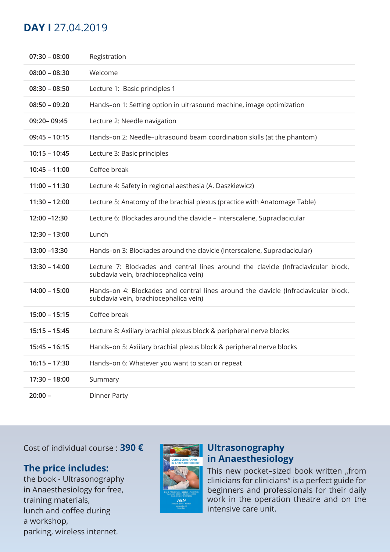## **DAY I** 27.04.2019

| $07:30 - 08:00$ | Registration                                                                                                                  |
|-----------------|-------------------------------------------------------------------------------------------------------------------------------|
| $08:00 - 08:30$ | Welcome                                                                                                                       |
| $08:30 - 08:50$ | Lecture 1: Basic principles 1                                                                                                 |
| $08:50 - 09:20$ | Hands-on 1: Setting option in ultrasound machine, image optimization                                                          |
| 09:20-09:45     | Lecture 2: Needle navigation                                                                                                  |
| $09:45 - 10:15$ | Hands-on 2: Needle-ultrasound beam coordination skills (at the phantom)                                                       |
| $10:15 - 10:45$ | Lecture 3: Basic principles                                                                                                   |
| $10:45 - 11:00$ | Coffee break                                                                                                                  |
| $11:00 - 11:30$ | Lecture 4: Safety in regional aesthesia (A. Daszkiewicz)                                                                      |
| $11:30 - 12:00$ | Lecture 5: Anatomy of the brachial plexus (practice with Anatomage Table)                                                     |
| 12:00 - 12:30   | Lecture 6: Blockades around the clavicle - Interscalene, Supraclacicular                                                      |
|                 |                                                                                                                               |
| $12:30 - 13:00$ | Lunch                                                                                                                         |
| 13:00 - 13:30   | Hands-on 3: Blockades around the clavicle (Interscalene, Supraclacicular)                                                     |
| $13:30 - 14:00$ | Lecture 7: Blockades and central lines around the clavicle (Infraclavicular block,<br>subclavia vein, brachiocephalica vein)  |
| $14:00 - 15:00$ | Hands-on 4: Blockades and central lines around the clavicle (Infraclavicular block,<br>subclavia vein, brachiocephalica vein) |
| $15:00 - 15:15$ | Coffee break                                                                                                                  |
| $15:15 - 15:45$ | Lecture 8: Axiilary brachial plexus block & peripheral nerve blocks                                                           |
| $15:45 - 16:15$ | Hands-on 5: Axiilary brachial plexus block & peripheral nerve blocks                                                          |
| $16:15 - 17:30$ | Hands-on 6: Whatever you want to scan or repeat                                                                               |
| $17:30 - 18:00$ | Summary                                                                                                                       |

Cost of individual course : **390 €**

### **The price includes:**

the book - Ultrasonography in Anaesthesiology for free, training materials, lunch and coffee during a workshop, parking, wireless internet.



### **Ultrasonography in Anaesthesiology**

This new pocket-sized book written "from clinicians for clinicians" is a perfect guide for beginners and professionals for their daily work in the operation theatre and on the intensive care unit.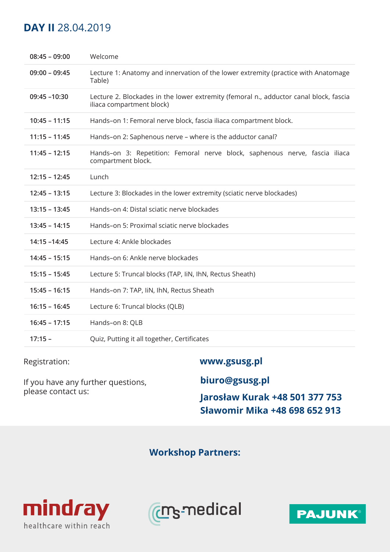## **DAY II** 28.04.2019

| $08:45 - 09:00$ | Welcome                                                                                                            |
|-----------------|--------------------------------------------------------------------------------------------------------------------|
| $09:00 - 09:45$ | Lecture 1: Anatomy and innervation of the lower extremity (practice with Anatomage<br>Table)                       |
| $09:45 - 10:30$ | Lecture 2. Blockades in the lower extremity (femoral n., adductor canal block, fascia<br>iliaca compartment block) |
| $10:45 - 11:15$ | Hands-on 1: Femoral nerve block, fascia iliaca compartment block.                                                  |
| $11:15 - 11:45$ | Hands-on 2: Saphenous nerve - where is the adductor canal?                                                         |
| $11:45 - 12:15$ | Hands-on 3: Repetition: Femoral nerve block, saphenous nerve, fascia iliaca<br>compartment block.                  |
| $12:15 - 12:45$ | Lunch                                                                                                              |
| $12:45 - 13:15$ | Lecture 3: Blockades in the lower extremity (sciatic nerve blockades)                                              |
| $13:15 - 13:45$ | Hands-on 4: Distal sciatic nerve blockades                                                                         |
| $13:45 - 14:15$ | Hands-on 5: Proximal sciatic nerve blockades                                                                       |
| 14:15 -14:45    | Lecture 4: Ankle blockades                                                                                         |
| $14:45 - 15:15$ | Hands-on 6: Ankle nerve blockades                                                                                  |
| $15:15 - 15:45$ | Lecture 5: Truncal blocks (TAP, IiN, IhN, Rectus Sheath)                                                           |
| $15:45 - 16:15$ | Hands-on 7: TAP, IiN, IhN, Rectus Sheath                                                                           |
| $16:15 - 16:45$ | Lecture 6: Truncal blocks (QLB)                                                                                    |
| $16:45 - 17:15$ | Hands-on 8: QLB                                                                                                    |
| $17:15 -$       | Quiz, Putting it all together, Certificates                                                                        |
|                 |                                                                                                                    |

Registration: **www.gsusg.pl** 

If you have any further questions, please contact us:

**biuro@gsusg.pl** 

**Jarosław Kurak +48 501 377 753 Sławomir Mika +48 698 652 913**

**Workshop Partners:**